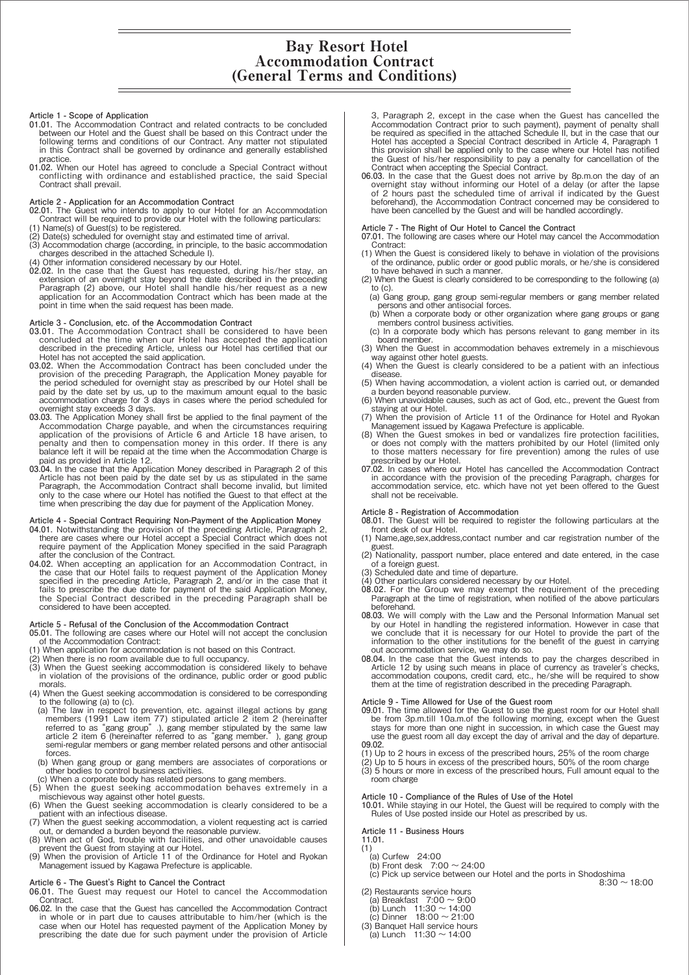# Bay Resort Hotel Accommodation Contract (General Terms and Conditions)

#### **Article 1 - Scope of Application**

- **01.01.** The Accommodation Contract and related contracts to be concluded between our Hotel and the Guest shall be based on this Contract under the following terms and conditions of our Contract. Any matter not stipulated in this Contract shall be governed by ordinance and generally established practice.
- **01.02.** When our Hotel has agreed to conclude a Special Contract without conflicting with ordinance and established practice, the said Special Contract shall prevail.

# **Article 2 - Application for an Accommodation Contract**

- **02.01.** The Guest who intends to apply to our Hotel for an Accommodation Contract will be required to provide our Hotel with the following particulars: (1) Name(s) of Guest(s) to be registered.
- (2) Date(s) scheduled for overnight stay and estimated time of arrival.
- (3) Accommodation charge (according, in principle, to the basic accommodation charges described in the attached Schedule I).
- (4) Other information considered necessary by our Hotel.
- **02.02.** In the case that the Guest has requested, during his/her stay, an extension of an overnight stay beyond the date described in the preceding Paragraph (2) above, our Hotel shall handle his/her request as a new application for an Accommodation Contract which has been made at the point in time when the said request has been made.

# **Article 3 - Conclusion, etc. of the Accommodation Contract**

- **03.01.** The Accommodation Contract shall be considered to have been concluded at the time when our Hotel has accepted the application described in the preceding Article, unless our Hotel has certified that our Hotel has not accepted the said application.
- **03.02.** When the Accommodation Contract has been concluded under the provision of the preceding Paragraph, the Application Money payable for the period scheduled for overnight stay as prescribed by our Hotel shall be paid by the date set by us, up to the maximum amount equal to the basic accommodation charge for 3 days in cases where the period scheduled for overnight stay exceeds 3 days.
- **03.03.** The Application Money shall first be applied to the final payment of the Accommodation Charge payable, and when the circumstances requiring application of the provisions of Article 6 and Article 18 have arisen, to penalty and then to compensation money in this order. If there is any balance left it will be repaid at the time when the Accommodation Charge is paid as provided in Article 12.
- **03.04.** In the case that the Application Money described in Paragraph 2 of this Article has not been paid by the date set by us as stipulated in the same Paragraph, the Accommodation Contract shall become invalid, but limited only to the case where our Hotel has notified the Guest to that effect at the time when prescribing the day due for payment of the Application Money.

#### **Article 4 - Special Contract Requiring Non-Payment of the Application Money**

- 04.01. Notwithstanding the provision of the preceding Article, Paragraph 2, there are cases where our Hotel accept a Special Contract which does not require payment of the Application Money specified in the said Paragraph after the conclusion of the Contract.
- 04.02. When accepting an application for an Accommodation Contract, in the case that our Hotel fails to request payment of the Application Money specified in the preceding Article, Paragraph 2, and/or in the case that it fails to prescribe the due date for payment of the said Application Money, the Special Contract described in the preceding Paragraph shall be considered to have been accepted.

#### **Article 5 - Refusal of the Conclusion of the Accommodation Contract**

- **05.01.** The following are cases where our Hotel will not accept the conclusion of the Accommodation Contract:
- (1) When application for accommodation is not based on this Contract.
- 
- (2) When there is no room available due to full occupancy. (3) When the Guest seeking accommodation is considered likely to behave in violation of the provisions of the ordinance, public order or good public morals.
- (4) When the Guest seeking accommodation is considered to be corresponding to the following (a) to (c).
- (a) The law in respect to prevention, etc. against illegal actions by gang<br>members (1991 Law item 77) stipulated article 2 item 2 (hereinafter<br>referred to as "gang group"), gang member stipulated by the same law<br>article 2 forces.
- (b) When gang group or gang members are associates of corporations or other bodies to control business activities.
- (c) When a corporate body has related persons to gang members.
- (5) When the guest seeking accommodation behaves extremely in a mischievous way against other hotel guests.
- (6) When the Guest seeking accommodation is clearly considered to be a patient with an infectious disease.
- (7) When the guest seeking accommodation, a violent requesting act is carried out, or demanded a burden beyond the reasonable purview.
- (8) When act of God, trouble with facilities, and other unavoidable causes prevent the Guest from staying at our Hotel. (9) When the provision of Article 11 of the Ordinance for Hotel and Ryokan
- Management issued by Kagawa Prefecture is applicable.
- **Article 6 The Guest's Right to Cancel the Contract**
- **06.01.** The Guest may request our Hotel to cancel the Accommodation Contract.
- **06.02.** In the case that the Guest has cancelled the Accommodation Contract in whole or in part due to causes attributable to him/her (which is the case when our Hotel has requested payment of the Application Money by prescribing the date due for such payment under the provision of Article
- 3, Paragraph 2, except in the case when the Guest has cancelled the Accommodation Contract prior to such payment), payment of penalty shall be required as specified in the attached Schedule II, but in the case that our Hotel has accepted a Special Contract described in Article 4, Paragraph 1 this provision shall be applied only to the case where our Hotel has notified<br>the Guest of his/her responsibility to pay a penalty for cancellation of the<br>Contract when accepting the Special Contract.<br>Only a contract when
- overnight stay without informing our Hotel of a delay (or after the lapse of 2 hours past the scheduled time of arrival if indicated by the Guest beforehand), the Accommodation Contract concerned may be considered to have been cancelled by the Guest and will be handled accordingly.

# **Article 7 - The Right of Our Hotel to Cancel the Contract**

- **07.01.** The following are cases where our Hotel may cancel the Accommodation Contract:
- (1) When the Guest is considered likely to behave in violation of the provisions of the ordinance, public order or good public morals, or he/she is considered
- to have behaved in such a manner. (2) When the Guest is clearly considered to be corresponding to the following (a)
- to (c). (a) Gang group, gang group semi-regular members or gang member related persons and other antisocial forces. (b) When a corporate body or other organization where gang groups or gang
- (b) When a corporate body or other organization where gang groups or gang members control business activities.
- (c) In a corporate body which has persons relevant to gang member in its board member. (3) When the Guest in accommodation behaves extremely in a mischievous
- way against other hotel guests.
- (4) When the Guest is clearly considered to be a patient with an infectious disease.
- (5) When having accommodation, a violent action is carried out, or demanded a burden beyond reasonable purview. (6) When unavoidable causes, such as act of God, etc., prevent the Guest from
- staying at our Hotel.
- (7) When the provision of Article 11 of the Ordinance for Hotel and Ryokan Management issued by Kagawa Prefecture is applicable.
- (8) When the Guest smokes in bed or vandalizes fire protection facilities, or does not comply with the matters prohibited by our Hotel (limited only to those matters necessary for fire prevention) among the rules of use prescribed by our Hotel.
- **07.02.** In cases where our Hotel has cancelled the Accommodation Contract in accordance with the provision of the preceding Paragraph, charges for accommodation service, etc. which have not yet been offered to the Guest shall not be receivable.

**Article 8 - Registration of Accommodation 08.01.** The Guest will be required to register the following particulars at the front desk of our Hotel.

- (1) Name,age,sex,address,contact number and car registration number of the guest.
- (2) Nationality, passport number, place entered and date entered, in the case of a foreign guest. (3) Scheduled date and time of departure.
- 
- (4) Other particulars considered necessary by our Hotel.
- **08.02.** For the Group we may exempt the requirement of the preceding Paragraph at the time of registration, when notified of the above particulars beforehand.
- **08.03.** We will comply with the Law and the Personal Information Manual set by our Hotel in handling the registered information. However in case that we conclude that it is necessary for our Hotel to provide the part of the information to the other institutions for the benefit of the guest in carrying out accommodation service, we may do so.
- 08.04. In the case that the Guest intends to pay the charges described in Article 12 by using such means in place of currency as traveler's checks, accommodation coupons, credit card, etc., he/she will be required to show them at the time of registration described in the preceding Paragraph.

# **Article 9 - Time Allowed for Use of the Guest room**

- 09.01. The time allowed for the Guest to use the guest room for our Hotel shall<br>be from 3p.m.till 10a.m.of the following morning, except when the Guest<br>stays for more than one night in succession, in which case the Guest m use the guest room all day except the day of arrival and the day of departure. **09.02.**
- (1) Up to 2 hours in excess of the prescribed hours, 25% of the room charge
- (2) Up to 5 hours in excess of the prescribed hours, 50% of the room charge (3) 5 hours or more in excess of the prescribed hours, Full amount equal to the
- room charge

# **Article 10 - Compliance of the Rules of Use of the Hotel**

**10.01.** While staying in our Hotel, the Guest will be required to comply with the Rules of Use posted inside our Hotel as prescribed by us.

**Article 11 - Business Hours**

- **11.01.**
- (1) (a) Curfew 24:00
- (b) Front desk  $7:00 \sim 24:00$
- (c) Pick up service between our Hotel and the ports in Shodoshima<br>8:30 ~ 18:00
- (2) Restaurants service hours
- (a) Breakfast 7:00 〜 9:00 (b) Lunch 11:30 〜 14:00 (c) Dinner 18:00 〜 21:00
- (3) Banquet Hall service hours
- $(a)$  Lunch 11:30  $\sim$  14:00